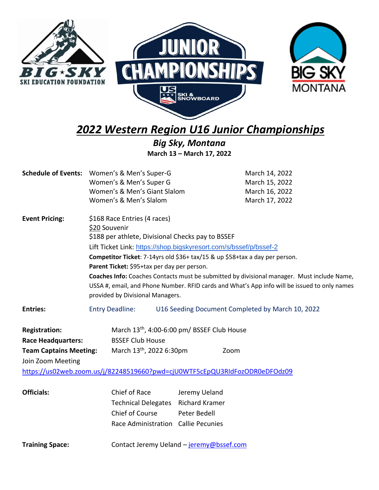

*2022 Western Region U16 Junior Championships*

*Big Sky, Montana* **March 13 – March 17, 2022**

|                                                                                                         | Schedule of Events: Women's & Men's Super-G<br>Women's & Men's Super G<br>Women's & Men's Giant Slalom<br>Women's & Men's Slalom                                                                                                                                                                                                                                                                                                                                                                                                        | March 14, 2022<br>March 15, 2022<br>March 16, 2022<br>March 17, 2022                                                                          |  |
|---------------------------------------------------------------------------------------------------------|-----------------------------------------------------------------------------------------------------------------------------------------------------------------------------------------------------------------------------------------------------------------------------------------------------------------------------------------------------------------------------------------------------------------------------------------------------------------------------------------------------------------------------------------|-----------------------------------------------------------------------------------------------------------------------------------------------|--|
| <b>Event Pricing:</b>                                                                                   | \$168 Race Entries (4 races)<br>\$20 Souvenir<br>\$188 per athlete, Divisional Checks pay to BSSEF<br>Lift Ticket Link: https://shop.bigskyresort.com/s/bssef/p/bssef-2<br>Competitor Ticket: 7-14yrs old \$36+ tax/15 & up \$58+tax a day per person.<br>Parent Ticket: \$95+tax per day per person.<br>Coaches Info: Coaches Contacts must be submitted by divisional manager. Must include Name,<br>USSA #, email, and Phone Number. RFID cards and What's App info will be issued to only names<br>provided by Divisional Managers. |                                                                                                                                               |  |
| <b>Entries:</b>                                                                                         | U16 Seeding Document Completed by March 10, 2022<br><b>Entry Deadline:</b>                                                                                                                                                                                                                                                                                                                                                                                                                                                              |                                                                                                                                               |  |
| <b>Registration:</b><br><b>Race Headquarters:</b><br><b>Team Captains Meeting:</b><br>Join Zoom Meeting | <b>BSSEF Club House</b><br>March 13 <sup>th</sup> , 2022 6:30pm                                                                                                                                                                                                                                                                                                                                                                                                                                                                         | March 13 <sup>th</sup> , 4:00-6:00 pm/ BSSEF Club House<br>Zoom<br>https://us02web.zoom.us/j/82248519660?pwd=cjU0WTF5cEpQU3RIdFozODR0eDFOdz09 |  |
| <b>Officials:</b>                                                                                       | Chief of Race<br>Technical Delegates Richard Kramer<br>Chief of Course<br>Race Administration Callie Pecunies                                                                                                                                                                                                                                                                                                                                                                                                                           | Jeremy Ueland<br>Peter Bedell                                                                                                                 |  |
| <b>Training Space:</b>                                                                                  |                                                                                                                                                                                                                                                                                                                                                                                                                                                                                                                                         | Contact Jeremy Ueland - jeremy@bssef.com                                                                                                      |  |